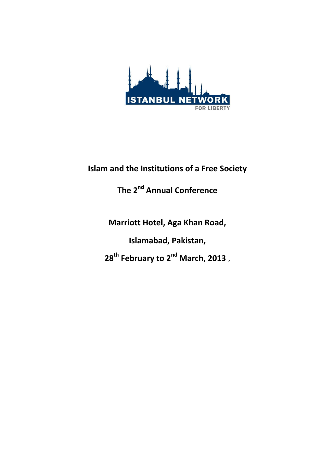

#### **Islam and the Institutions of a Free Society**

## **The 2nd Annual Conference**

**Marriott Hotel, Aga Khan Road, Islamabad, Pakistan, 28th February to 2nd March, 2013** ,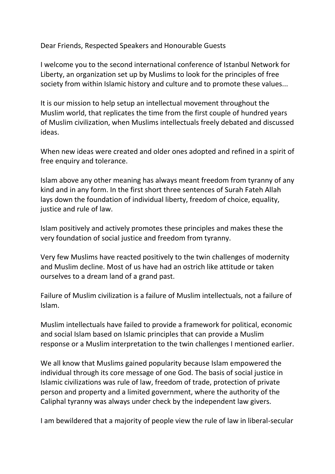Dear Friends, Respected Speakers and Honourable Guests

I welcome you to the second international conference of Istanbul Network for Liberty, an organization set up by Muslims to look for the principles of free society from within Islamic history and culture and to promote these values...

It is our mission to help setup an intellectual movement throughout the Muslim world, that replicates the time from the first couple of hundred years of Muslim civilization, when Muslims intellectuals freely debated and discussed ideas.

When new ideas were created and older ones adopted and refined in a spirit of free enquiry and tolerance.

Islam above any other meaning has always meant freedom from tyranny of any kind and in any form. In the first short three sentences of Surah Fateh Allah lays down the foundation of individual liberty, freedom of choice, equality, justice and rule of law.

Islam positively and actively promotes these principles and makes these the very foundation of social justice and freedom from tyranny.

Very few Muslims have reacted positively to the twin challenges of modernity and Muslim decline. Most of us have had an ostrich like attitude or taken ourselves to a dream land of a grand past.

Failure of Muslim civilization is a failure of Muslim intellectuals, not a failure of Islam.

Muslim intellectuals have failed to provide a framework for political, economic and social Islam based on Islamic principles that can provide a Muslim response or a Muslim interpretation to the twin challenges I mentioned earlier.

We all know that Muslims gained popularity because Islam empowered the individual through its core message of one God. The basis of social justice in Islamic civilizations was rule of law, freedom of trade, protection of private person and property and a limited government, where the authority of the Caliphal tyranny was always under check by the independent law givers.

I am bewildered that a majority of people view the rule of law in liberal-secular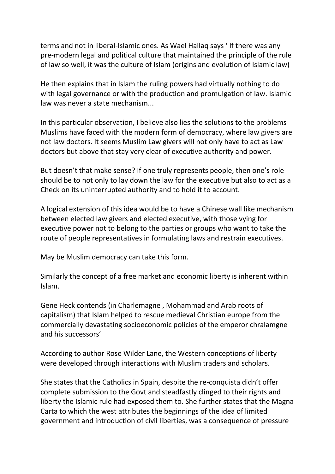terms and not in liberal-Islamic ones. As Wael Hallaq says ' If there was any pre-modern legal and political culture that maintained the principle of the rule of law so well, it was the culture of Islam (origins and evolution of Islamic law)

He then explains that in Islam the ruling powers had virtually nothing to do with legal governance or with the production and promulgation of law. Islamic law was never a state mechanism...

In this particular observation, I believe also lies the solutions to the problems Muslims have faced with the modern form of democracy, where law givers are not law doctors. It seems Muslim Law givers will not only have to act as Law doctors but above that stay very clear of executive authority and power.

But doesn't that make sense? If one truly represents people, then one's role should be to not only to lay down the law for the executive but also to act as a Check on its uninterrupted authority and to hold it to account.

A logical extension of this idea would be to have a Chinese wall like mechanism between elected law givers and elected executive, with those vying for executive power not to belong to the parties or groups who want to take the route of people representatives in formulating laws and restrain executives.

May be Muslim democracy can take this form.

Similarly the concept of a free market and economic liberty is inherent within Islam.

Gene Heck contends (in Charlemagne , Mohammad and Arab roots of capitalism) that Islam helped to rescue medieval Christian europe from the commercially devastating socioeconomic policies of the emperor chralamgne and his successors'

According to author Rose Wilder Lane, the Western conceptions of liberty were developed through interactions with Muslim traders and scholars.

She states that the Catholics in Spain, despite the re-conquista didn't offer complete submission to the Govt and steadfastly clinged to their rights and liberty the Islamic rule had exposed them to. She further states that the Magna Carta to which the west attributes the beginnings of the idea of limited government and introduction of civil liberties, was a consequence of pressure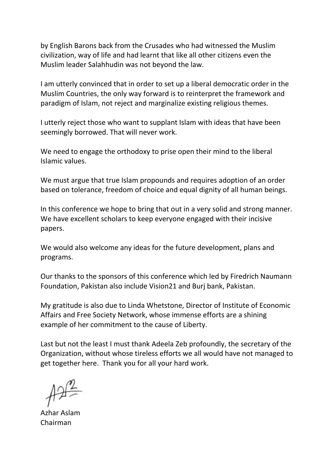by English Barons back from the Crusades who had witnessed the Muslim civilization, way of life and had learnt that like all other citizens even the Muslim leader Salahhudin was not beyond the law.

I am utterly convinced that in order to set up a liberal democratic order in the Muslim Countries, the only way forward is to reinterpret the framework and paradigm of Islam, not reject and marginalize existing religious themes.

I utterly reject those who want to supplant Islam with ideas that have been seemingly borrowed. That will never work.

We need to engage the orthodoxy to prise open their mind to the liberal Islamic values.

We must argue that true Islam propounds and requires adoption of an order based on tolerance, freedom of choice and equal dignity of all human beings.

In this conference we hope to bring that out in a very solid and strong manner. We have excellent scholars to keep everyone engaged with their incisive papers.

We would also welcome any ideas for the future development, plans and programs.

Our thanks to the sponsors of this conference which led by Firedrich Naumann Foundation, Pakistan also include Vision21 and Burj bank, Pakistan.

My gratitude is also due to Linda Whetstone, Director of Institute of Economic Affairs and Free Society Network, whose immense efforts are a shining example of her commitment to the cause of Liberty.

Last but not the least I must thank Adeela Zeb profoundly, the secretary of the Organization, without whose tireless efforts we all would have not managed to get together here. Thank you for all your hard work.

Azhar Aslam Chairman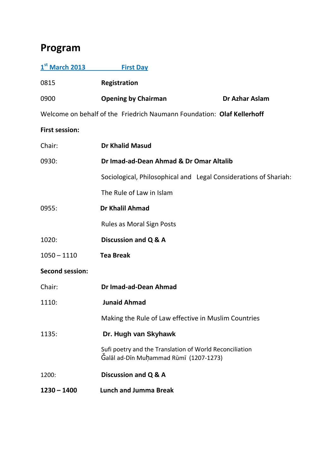### **Program**

| 1st March 2013                                                         | <b>First Day</b>                                                                                  |                       |
|------------------------------------------------------------------------|---------------------------------------------------------------------------------------------------|-----------------------|
| 0815                                                                   | <b>Registration</b>                                                                               |                       |
| 0900                                                                   | <b>Opening by Chairman</b>                                                                        | <b>Dr Azhar Aslam</b> |
| Welcome on behalf of the Friedrich Naumann Foundation: Olaf Kellerhoff |                                                                                                   |                       |
| <b>First session:</b>                                                  |                                                                                                   |                       |
| Chair:                                                                 | <b>Dr Khalid Masud</b>                                                                            |                       |
| 0930:                                                                  | Dr Imad-ad-Dean Ahmad & Dr Omar Altalib                                                           |                       |
|                                                                        | Sociological, Philosophical and Legal Considerations of Shariah:                                  |                       |
|                                                                        | The Rule of Law in Islam                                                                          |                       |
| 0955:                                                                  | Dr Khalil Ahmad                                                                                   |                       |
|                                                                        | <b>Rules as Moral Sign Posts</b>                                                                  |                       |
| 1020:                                                                  | Discussion and Q & A                                                                              |                       |
| $1050 - 1110$                                                          | <b>Tea Break</b>                                                                                  |                       |
| <b>Second session:</b>                                                 |                                                                                                   |                       |
| Chair:                                                                 | Dr Imad-ad-Dean Ahmad                                                                             |                       |
| 1110:                                                                  | <b>Junaid Ahmad</b>                                                                               |                       |
|                                                                        | Making the Rule of Law effective in Muslim Countries                                              |                       |
| 1135:                                                                  | Dr. Hugh van Skyhawk                                                                              |                       |
|                                                                        | Sufi poetry and the Translation of World Reconciliation<br>Galāl ad-Dīn Muḥammad Rūmī (1207-1273) |                       |
| 1200:                                                                  | Discussion and Q & A                                                                              |                       |
| $1230 - 1400$                                                          | <b>Lunch and Jumma Break</b>                                                                      |                       |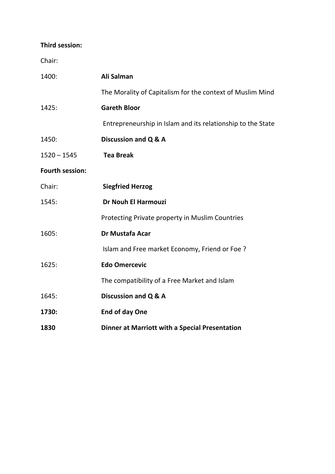#### **Third session:**

Chair:

| 1400:                  | Ali Salman                                                  |
|------------------------|-------------------------------------------------------------|
|                        | The Morality of Capitalism for the context of Muslim Mind   |
| 1425:                  | <b>Gareth Bloor</b>                                         |
|                        | Entrepreneurship in Islam and its relationship to the State |
| 1450:                  | Discussion and Q & A                                        |
| $1520 - 1545$          | <b>Tea Break</b>                                            |
| <b>Fourth session:</b> |                                                             |
| Chair:                 | <b>Siegfried Herzog</b>                                     |
| 1545:                  | <b>Dr Nouh El Harmouzi</b>                                  |
|                        | Protecting Private property in Muslim Countries             |
| 1605:                  | Dr Mustafa Acar                                             |
|                        | Islam and Free market Economy, Friend or Foe?               |
| 1625:                  | <b>Edo Omercevic</b>                                        |
|                        | The compatibility of a Free Market and Islam                |
| 1645:                  | Discussion and Q & A                                        |
| 1730:                  | <b>End of day One</b>                                       |
| 1830                   | <b>Dinner at Marriott with a Special Presentation</b>       |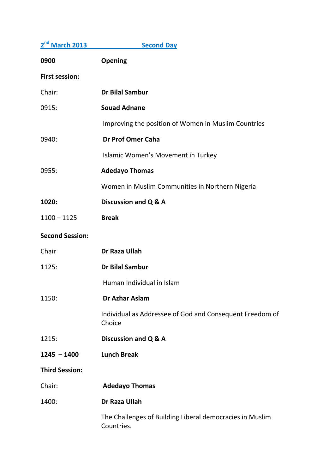| 2 <sup>nd</sup> March 2013 | <b>Second Day</b>                                                      |
|----------------------------|------------------------------------------------------------------------|
| 0900                       | <b>Opening</b>                                                         |
| <b>First session:</b>      |                                                                        |
| Chair:                     | <b>Dr Bilal Sambur</b>                                                 |
| 0915:                      | <b>Souad Adnane</b>                                                    |
|                            | Improving the position of Women in Muslim Countries                    |
| 0940:                      | <b>Dr Prof Omer Caha</b>                                               |
|                            | Islamic Women's Movement in Turkey                                     |
| 0955:                      | <b>Adedayo Thomas</b>                                                  |
|                            | Women in Muslim Communities in Northern Nigeria                        |
| 1020:                      | Discussion and Q & A                                                   |
| $1100 - 1125$              | <b>Break</b>                                                           |
| <b>Second Session:</b>     |                                                                        |
| Chair                      | Dr Raza Ullah                                                          |
| 1125:                      | <b>Dr Bilal Sambur</b>                                                 |
|                            | Human Individual in Islam                                              |
| 1150:                      | Dr Azhar Aslam                                                         |
|                            | Individual as Addressee of God and Consequent Freedom of<br>Choice     |
| 1215:                      | Discussion and Q & A                                                   |
| $1245 - 1400$              | <b>Lunch Break</b>                                                     |
| <b>Third Session:</b>      |                                                                        |
| Chair:                     | <b>Adedayo Thomas</b>                                                  |
| 1400:                      | Dr Raza Ullah                                                          |
|                            | The Challenges of Building Liberal democracies in Muslim<br>Countries. |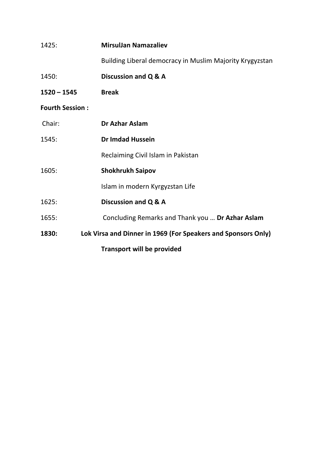| 1425:                  | <b>MirsulJan Namazaliev</b>                                   |
|------------------------|---------------------------------------------------------------|
|                        | Building Liberal democracy in Muslim Majority Krygyzstan      |
| 1450:                  | Discussion and Q & A                                          |
| $1520 - 1545$          | <b>Break</b>                                                  |
| <b>Fourth Session:</b> |                                                               |
| Chair:                 | <b>Dr Azhar Aslam</b>                                         |
| 1545:                  | <b>Dr Imdad Hussein</b>                                       |
|                        | Reclaiming Civil Islam in Pakistan                            |
| 1605:                  | <b>Shokhrukh Saipov</b>                                       |
|                        | Islam in modern Kyrgyzstan Life                               |
| 1625:                  | Discussion and Q & A                                          |
| 1655:                  | Concluding Remarks and Thank you  Dr Azhar Aslam              |
| 1830:                  | Lok Virsa and Dinner in 1969 (For Speakers and Sponsors Only) |
|                        | <b>Transport will be provided</b>                             |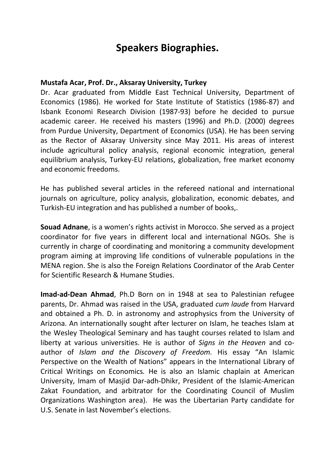#### **Speakers Biographies.**

#### **Mustafa Acar, Prof. Dr., Aksaray University, Turkey**

Dr. Acar graduated from Middle East Technical University, Department of Economics (1986). He worked for State Institute of Statistics (1986-87) and Isbank Economi Research Division (1987-93) before he decided to pursue academic career. He received his masters (1996) and Ph.D. (2000) degrees from Purdue University, Department of Economics (USA). He has been serving as the Rector of Aksaray University since May 2011. His areas of interest include agricultural policy analysis, regional economic integration, general equilibrium analysis, Turkey-EU relations, globalization, free market economy and economic freedoms.

He has published several articles in the refereed national and international journals on agriculture, policy analysis, globalization, economic debates, and Turkish-EU integration and has published a number of books,.

**Souad Adnane**, is a women's rights activist in Morocco. She served as a project coordinator for five years in different local and international NGOs. She is currently in charge of coordinating and monitoring a community development program aiming at improving life conditions of vulnerable populations in the MENA region. She is also the Foreign Relations Coordinator of the Arab Center for Scientific Research & Humane Studies.

**Imad-ad-Dean Ahmad**, Ph.D Born on in 1948 at sea to Palestinian refugee parents, Dr. Ahmad was raised in the USA, graduated *cum laude* from Harvard and obtained a Ph. D. in astronomy and astrophysics from the University of Arizona. An internationally sought after lecturer on Islam, he teaches Islam at the Wesley Theological Seminary and has taught courses related to Islam and liberty at various universities. He is author of *Signs in the Heaven* and coauthor of *Islam and the Discovery of Freedom.* His essay "An Islamic Perspective on the Wealth of Nations" appears in the International Library of Critical Writings on Economics*.* He is also an Islamic chaplain at American University, Imam of Masjid Dar-adh-Dhikr, President of the Islamic-American Zakat Foundation, and arbitrator for the Coordinating Council of Muslim Organizations Washington area). He was the Libertarian Party candidate for U.S. Senate in last November's elections.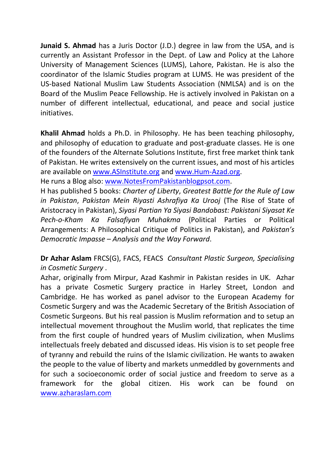**Junaid S. Ahmad** has a Juris Doctor (J.D.) degree in law from the USA, and is currently an Assistant Professor in the Dept. of Law and Policy at the Lahore University of Management Sciences (LUMS), Lahore, Pakistan. He is also the coordinator of the Islamic Studies program at LUMS. He was president of the US-based National Muslim Law Students Association (NMLSA) and is on the Board of the Muslim Peace Fellowship. He is actively involved in Pakistan on a number of different intellectual, educational, and peace and social justice initiatives.

**Khalil Ahmad** holds a Ph.D. in Philosophy. He has been teaching philosophy, and philosophy of education to graduate and post-graduate classes. He is one of the founders of the Alternate Solutions Institute, first free market think tank of Pakistan. He writes extensively on the current issues, and most of his articles are available on [www.ASInstitute.org](http://www.asinstitute.org/) and [www.Hum-Azad.org.](http://www.hum-azad.org/)

He runs a Blog also: [www.NotesFromPakistanblogpsot.com.](http://www.notesfrompakistanblogpsot.com/)

H has published 5 books: *Charter of Liberty*, *Greatest Battle for the Rule of Law in Pakistan*, *Pakistan Mein Riyasti Ashrafiya Ka Urooj* (The Rise of State of Aristocracy in Pakistan), *Siyasi Partian Ya Siyasi Bandobast: Pakistani Siyasat Ke Pech-o-Kham Ka Falsafiyan Muhakma* (Political Parties or Political Arrangements: A Philosophical Critique of Politics in Pakistan), and *Pakistan's Democratic Impasse – Analysis and the Way Forward*.

**Dr Azhar Aslam** FRCS(G), FACS, FEACS *Consultant Plastic Surgeon, Specialising in Cosmetic Surgery* .

Azhar, originally from Mirpur, Azad Kashmir in Pakistan resides in UK. Azhar has a private Cosmetic Surgery practice in Harley Street, London and Cambridge. He has worked as panel advisor to the European Academy for Cosmetic Surgery and was the Academic Secretary of the British Association of Cosmetic Surgeons. But his real passion is Muslim reformation and to setup an intellectual movement throughout the Muslim world, that replicates the time from the first couple of hundred years of Muslim civilization, when Muslims intellectuals freely debated and discussed ideas. His vision is to set people free of tyranny and rebuild the ruins of the Islamic civilization. He wants to awaken the people to the value of liberty and markets unmeddled by governments and for such a socioeconomic order of social justice and freedom to serve as a framework for the global citizen. His work can be found on [www.azharaslam.com](http://www.azharaslam.com/)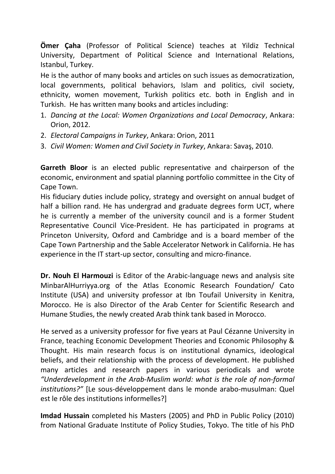**Ömer Çaha** (Professor of Political Science) teaches at Yildiz Technical University, Department of Political Science and International Relations, Istanbul, Turkey.

He is the author of many books and articles on such issues as democratization, local governments, political behaviors, Islam and politics, civil society, ethnicity, women movement, Turkish politics etc. both in English and in Turkish. He has written many books and articles including:

- 1. *Dancing at the Local: Women Organizations and Local Democracy*, Ankara: Orion, 2012.
- 2. *Electoral Campaigns in Turkey*, Ankara: Orion, 2011
- 3. *Civil Women: Women and Civil Society in Turkey*, Ankara: Savaş, 2010.

**Garreth Bloor** is an elected public representative and chairperson of the economic, environment and spatial planning portfolio committee in the City of Cape Town.

His fiduciary duties include policy, strategy and oversight on annual budget of half a billion rand. He has undergrad and graduate degrees form UCT, where he is currently a member of the university council and is a former Student Representative Council Vice-President. He has participated in programs at Princeton University, Oxford and Cambridge and is a board member of the Cape Town Partnership and the Sable Accelerator Network in California. He has experience in the IT start-up sector, consulting and micro-finance.

**Dr. Nouh El Harmouzi** is Editor of the Arabic-language news and analysis site [MinbarAlHurriyya.org](http://minbaralhurriyya.org/) of the Atlas Economic Research Foundation/ Cato Institute (USA) and university professor at Ibn Toufail University in Kenitra, Morocco. He is also Director of the Arab Center for Scientific Research and Humane Studies, the newly created Arab think tank based in Morocco.

He served as a university professor for five years at Paul Cézanne University in France, teaching Economic Development Theories and Economic Philosophy & Thought. His main research focus is on institutional dynamics, ideological beliefs, and their relationship with the process of development. He published many articles and research papers in various periodicals and wrote *"Underdevelopment in the Arab-Muslim world: what is the role of non-formal institutions?"* [Le sous-développement dans le monde arabo-musulman: Quel est le rôle des institutions informelles?]

**Imdad Hussain** completed his Masters (2005) and PhD in Public Policy (2010) from National Graduate Institute of Policy Studies, Tokyo. The title of his PhD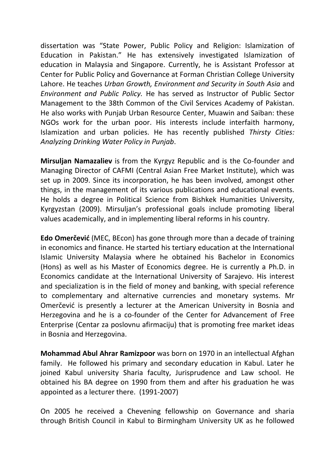dissertation was "State Power, Public Policy and Religion: Islamization of Education in Pakistan." He has extensively investigated Islamization of education in Malaysia and Singapore. Currently, he is Assistant Professor at Center for Public Policy and Governance at Forman Christian College University Lahore. He teaches *Urban Growth, Environment and Security in South Asia* and *Environment and Public Policy.* He has served as Instructor of Public Sector Management to the 38th Common of the Civil Services Academy of Pakistan. He also works with Punjab Urban Resource Center, Muawin and Saiban: these NGOs work for the urban poor. His interests include interfaith harmony, Islamization and urban policies. He has recently published *Thirsty Cities: Analyzing Drinking Water Policy in Punjab*.

**Mirsuljan Namazaliev** is from the Kyrgyz Republic and is the Co-founder and Managing Director of CAFMI (Central Asian Free Market Institute), which was set up in 2009. Since its incorporation, he has been involved, amongst other things, in the management of its various publications and educational events. He holds a degree in Political Science from Bishkek Humanities University, Kyrgyzstan (2009). Mirsuljan's professional goals include promoting liberal values academically, and in implementing liberal reforms in his country.

**Edo Omerčević** (MEC, BEcon) has gone through more than a decade of training in economics and finance. He started his tertiary education at the International Islamic University Malaysia where he obtained his Bachelor in Economics (Hons) as well as his Master of Economics degree. He is currently a Ph.D. in Economics candidate at the International University of Sarajevo. His interest and specialization is in the field of money and banking, with special reference to complementary and alternative currencies and monetary systems. Mr Omerčević is presently a lecturer at the American University in Bosnia and Herzegovina and he is a co-founder of the Center for Advancement of Free Enterprise (Centar za poslovnu afirmaciju) that is promoting free market ideas in Bosnia and Herzegovina.

**Mohammad Abul Ahrar Ramizpoor** was born on 1970 in an intellectual Afghan family. He followed his primary and secondary education in Kabul. Later he joined Kabul university Sharia faculty, Jurisprudence and Law school. He obtained his BA degree on 1990 from them and after his graduation he was appointed as a lecturer there. (1991-2007)

On 2005 he received a Chevening fellowship on Governance and sharia through British Council in Kabul to Birmingham University UK as he followed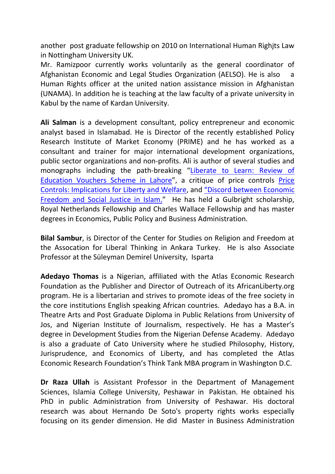another post graduate fellowship on 2010 on International Human Righjts Law in Nottingham University UK.

Mr. Ramizpoor currently works voluntarily as the general coordinator of Afghanistan Economic and Legal Studies Organization (AELSO). He is also a Human Rights officer at the united nation assistance mission in Afghanistan (UNAMA). In addition he is teaching at the law faculty of a private university in Kabul by the name of Kardan University.

**Ali Salman** is a development consultant, policy entrepreneur and economic analyst based in Islamabad. He is Director of the recently established Policy Research Institute of Market Economy (PRIME) and he has worked as a consultant and trainer for major international development organizations, public sector organizations and non-profits. Ali is author of several studies and monographs including the path-breaking "[Liberate to Learn: Review of](http://www.hum-azad.org/downloads/Liberate_to_Learn.pdf)  [Education Vouchers Scheme in Lahore](http://www.hum-azad.org/downloads/Liberate_to_Learn.pdf)", a critique of price controls [Price](http://www.efn.net.pk/images/stories/price_controls.pdf)  [Controls: Implications for Liberty and Welfare,](http://www.efn.net.pk/images/stories/price_controls.pdf) and ["Discord between Economic](http://www.efn.net.pk/images/stories/publications/pdf/state-intervention.pdf)  [Freedom and Social Justice in Islam.](http://www.efn.net.pk/images/stories/publications/pdf/state-intervention.pdf)" He has held a Gulbright scholarship, Royal Netherlands Fellowship and Charles Wallace Fellowship and has master degrees in Economics, Public Policy and Business Administration.

**Bilal Sambur**, is Director of the Center for Studies on Religion and Freedom at the Assocation for Liberal Thinking in Ankara Turkey. He is also Associate Professor at the Süleyman Demirel University, Isparta

**Adedayo Thomas** is a Nigerian, affiliated with the Atlas Economic Research Foundation as the Publisher and Director of Outreach of its AfricanLiberty.org program. He is a libertarian and strives to promote ideas of the free society in the core institutions English speaking African countries. Adedayo has a B.A. in Theatre Arts and Post Graduate Diploma in Public Relations from University of Jos, and Nigerian Institute of Journalism, respectively. He has a Master's degree in Development Studies from the Nigerian Defense Academy. Adedayo is also a graduate of Cato University where he studied Philosophy, History, Jurisprudence, and Economics of Liberty, and has completed the Atlas Economic Research Foundation's Think Tank MBA program in Washington D.C.

**Dr Raza Ullah** is Assistant Professor in the Department of Management Sciences, Islamia College University, Peshawar in Pakistan. He obtained his PhD in public Administration from University of Peshawar. His doctoral research was about Hernando De Soto's property rights works especially focusing on its gender dimension. He did Master in Business Administration